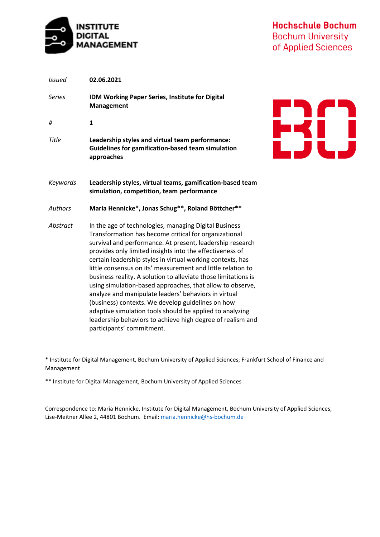

**Hochschule Bochum Bochum University** of Applied Sciences

**EXC)** 

| <b>Issued</b> | 02.06.2021                                                                                                                                                                                                                                                                                                                                                                                                                                                                                                                                                                                                                                                                                                                                                              |
|---------------|-------------------------------------------------------------------------------------------------------------------------------------------------------------------------------------------------------------------------------------------------------------------------------------------------------------------------------------------------------------------------------------------------------------------------------------------------------------------------------------------------------------------------------------------------------------------------------------------------------------------------------------------------------------------------------------------------------------------------------------------------------------------------|
| <b>Series</b> | IDM Working Paper Series, Institute for Digital<br><b>Management</b>                                                                                                                                                                                                                                                                                                                                                                                                                                                                                                                                                                                                                                                                                                    |
| #             | 1                                                                                                                                                                                                                                                                                                                                                                                                                                                                                                                                                                                                                                                                                                                                                                       |
| <b>Title</b>  | Leadership styles and virtual team performance:<br><b>Guidelines for gamification-based team simulation</b><br>approaches                                                                                                                                                                                                                                                                                                                                                                                                                                                                                                                                                                                                                                               |
| Keywords      | Leadership styles, virtual teams, gamification-based team<br>simulation, competition, team performance                                                                                                                                                                                                                                                                                                                                                                                                                                                                                                                                                                                                                                                                  |
| Authors       | Maria Hennicke*, Jonas Schug**, Roland Böttcher**                                                                                                                                                                                                                                                                                                                                                                                                                                                                                                                                                                                                                                                                                                                       |
| Abstract      | In the age of technologies, managing Digital Business<br>Transformation has become critical for organizational<br>survival and performance. At present, leadership research<br>provides only limited insights into the effectiveness of<br>certain leadership styles in virtual working contexts, has<br>little consensus on its' measurement and little relation to<br>business reality. A solution to alleviate those limitations is<br>using simulation-based approaches, that allow to observe,<br>analyze and manipulate leaders' behaviors in virtual<br>(business) contexts. We develop guidelines on how<br>adaptive simulation tools should be applied to analyzing<br>leadership behaviors to achieve high degree of realism and<br>participants' commitment. |

\* Institute for Digital Management, Bochum University of Applied Sciences; Frankfurt School of Finance and Management

\*\* Institute for Digital Management, Bochum University of Applied Sciences

Correspondence to: Maria Hennicke, Institute for Digital Management, Bochum University of Applied Sciences, Lise-Meitner Allee 2, 44801 Bochum. Email: [maria.hennicke@hs-bochum.de](mailto:maria.hennicke@hs-bochum.de)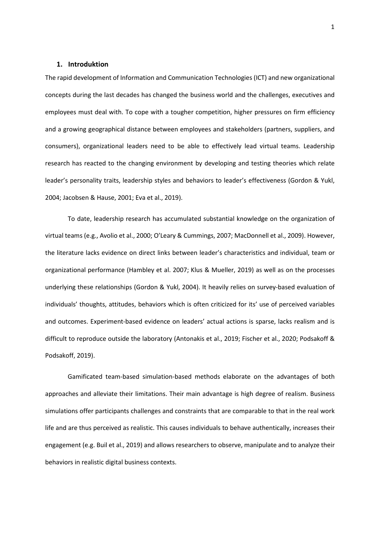#### **1. Introduktion**

The rapid development of Information and Communication Technologies (ICT) and new organizational concepts during the last decades has changed the business world and the challenges, executives and employees must deal with. To cope with a tougher competition, higher pressures on firm efficiency and a growing geographical distance between employees and stakeholders (partners, suppliers, and consumers), organizational leaders need to be able to effectively lead virtual teams. Leadership research has reacted to the changing environment by developing and testing theories which relate leader's personality traits, leadership styles and behaviors to leader's effectiveness (Gordon & Yukl, 2004; Jacobsen & Hause, 2001; Eva et al., 2019).

To date, leadership research has accumulated substantial knowledge on the organization of virtual teams (e.g., Avolio et al., 2000; O'Leary & Cummings, 2007; MacDonnell et al., 2009). However, the literature lacks evidence on direct links between leader's characteristics and individual, team or organizational performance (Hambley et al. 2007; Klus & Mueller, 2019) as well as on the processes underlying these relationships (Gordon & Yukl, 2004). It heavily relies on survey-based evaluation of individuals' thoughts, attitudes, behaviors which is often criticized for its' use of perceived variables and outcomes. Experiment-based evidence on leaders' actual actions is sparse, lacks realism and is difficult to reproduce outside the laboratory (Antonakis et al., 2019; Fischer et al., 2020; Podsakoff & Podsakoff, 2019).

Gamificated team-based simulation-based methods elaborate on the advantages of both approaches and alleviate their limitations. Their main advantage is high degree of realism. Business simulations offer participants challenges and constraints that are comparable to that in the real work life and are thus perceived as realistic. This causes individuals to behave authentically, increases their engagement (e.g. Buil et al., 2019) and allows researchers to observe, manipulate and to analyze their behaviors in realistic digital business contexts.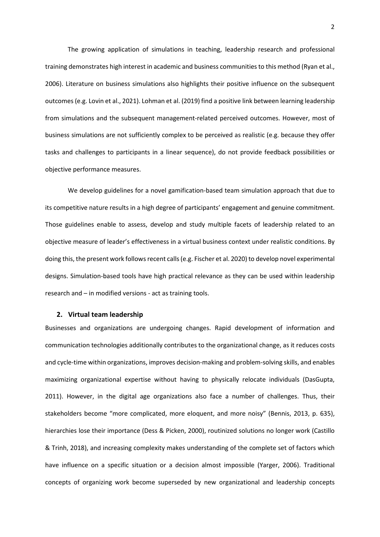The growing application of simulations in teaching, leadership research and professional training demonstrates high interest in academic and business communities to this method (Ryan et al., 2006). Literature on business simulations also highlights their positive influence on the subsequent outcomes (e.g. Lovin et al., 2021). Lohman et al. (2019) find a positive link between learning leadership from simulations and the subsequent management-related perceived outcomes. However, most of business simulations are not sufficiently complex to be perceived as realistic (e.g. because they offer tasks and challenges to participants in a linear sequence), do not provide feedback possibilities or objective performance measures.

We develop guidelines for a novel gamification-based team simulation approach that due to its competitive nature results in a high degree of participants' engagement and genuine commitment. Those guidelines enable to assess, develop and study multiple facets of leadership related to an objective measure of leader's effectiveness in a virtual business context under realistic conditions. By doing this, the present work follows recent calls(e.g. Fischer et al. 2020) to develop novel experimental designs. Simulation-based tools have high practical relevance as they can be used within leadership research and – in modified versions - act as training tools.

### **2. Virtual team leadership**

Businesses and organizations are undergoing changes. Rapid development of information and communication technologies additionally contributes to the organizational change, as it reduces costs and cycle-time within organizations, improves decision-making and problem-solving skills, and enables maximizing organizational expertise without having to physically relocate individuals (DasGupta, 2011). However, in the digital age organizations also face a number of challenges. Thus, their stakeholders become "more complicated, more eloquent, and more noisy" (Bennis, 2013, p. 635), hierarchies lose their importance (Dess & Picken, 2000), routinized solutions no longer work (Castillo & Trinh, 2018), and increasing complexity makes understanding of the complete set of factors which have influence on a specific situation or a decision almost impossible (Yarger, 2006). Traditional concepts of organizing work become superseded by new organizational and leadership concepts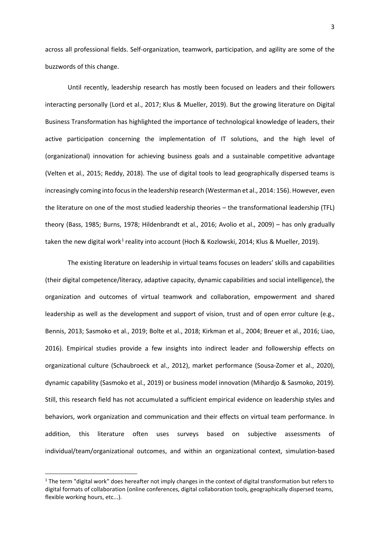across all professional fields. Self-organization, teamwork, participation, and agility are some of the buzzwords of this change.

Until recently, leadership research has mostly been focused on leaders and their followers interacting personally (Lord et al., 2017; Klus & Mueller, 2019). But the growing literature on Digital Business Transformation has highlighted the importance of technological knowledge of leaders, their active participation concerning the implementation of IT solutions, and the high level of (organizational) innovation for achieving business goals and a sustainable competitive advantage (Velten et al., 2015; Reddy, 2018). The use of digital tools to lead geographically dispersed teams is increasingly coming into focus in the leadership research (Westerman et al., 2014: 156). However, even the literature on one of the most studied leadership theories – the transformational leadership (TFL) theory (Bass, 1985; Burns, 1978; Hildenbrandt et al., 2016; Avolio et al., 2009) – has only gradually taken the new digital work<sup>[1](#page-3-0)</sup> reality into account (Hoch & Kozlowski, 2014; Klus & Mueller, 2019).

The existing literature on leadership in virtual teams focuses on leaders' skills and capabilities (their digital competence/literacy, adaptive capacity, dynamic capabilities and social intelligence), the organization and outcomes of virtual teamwork and collaboration, empowerment and shared leadership as well as the development and support of vision, trust and of open error culture (e.g., Bennis, 2013; Sasmoko et al., 2019; Bolte et al., 2018; Kirkman et al., 2004; Breuer et al., 2016; Liao, 2016). Empirical studies provide a few insights into indirect leader and followership effects on organizational culture (Schaubroeck et al., 2012), market performance (Sousa-Zomer et al., 2020), dynamic capability (Sasmoko et al., 2019) or business model innovation (Mihardjo & Sasmoko, 2019). Still, this research field has not accumulated a sufficient empirical evidence on leadership styles and behaviors, work organization and communication and their effects on virtual team performance. In addition, this literature often uses surveys based on subjective assessments of individual/team/organizational outcomes, and within an organizational context, simulation-based

<span id="page-3-0"></span> $1$  The term "digital work" does hereafter not imply changes in the context of digital transformation but refers to digital formats of collaboration (online conferences, digital collaboration tools, geographically dispersed teams, flexible working hours, etc...).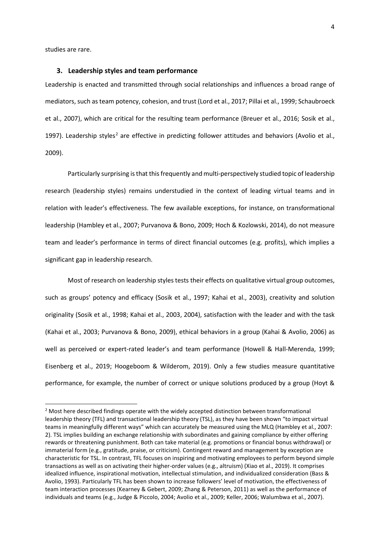studies are rare.

### **3. Leadership styles and team performance**

Leadership is enacted and transmitted through social relationships and influences a broad range of mediators, such as team potency, cohesion, and trust (Lord et al., 2017; Pillai et al., 1999; Schaubroeck et al., 2007), which are critical for the resulting team performance (Breuer et al., 2016; Sosik et al., 1997). Leadership styles<sup>[2](#page-4-0)</sup> are effective in predicting follower attitudes and behaviors (Avolio et al., 2009).

Particularly surprising is that this frequently and multi-perspectively studied topic of leadership research (leadership styles) remains understudied in the context of leading virtual teams and in relation with leader's effectiveness. The few available exceptions, for instance, on transformational leadership (Hambley et al., 2007; Purvanova & Bono, 2009; Hoch & Kozlowski, 2014), do not measure team and leader's performance in terms of direct financial outcomes (e.g. profits), which implies a significant gap in leadership research.

Most of research on leadership styles tests their effects on qualitative virtual group outcomes, such as groups' potency and efficacy (Sosik et al., 1997; Kahai et al., 2003), creativity and solution originality (Sosik et al., 1998; Kahai et al., 2003, 2004), satisfaction with the leader and with the task (Kahai et al., 2003; Purvanova & Bono, 2009), ethical behaviors in a group (Kahai & Avolio, 2006) as well as perceived or expert-rated leader's and team performance (Howell & Hall-Merenda, 1999; Eisenberg et al., 2019; Hoogeboom & Wilderom, 2019). Only a few studies measure quantitative performance, for example, the number of correct or unique solutions produced by a group (Hoyt &

<span id="page-4-0"></span> $2$  Most here described findings operate with the widely accepted distinction between transformational leadership theory (TFL) and transactional leadership theory (TSL), as they have been shown "to impact virtual teams in meaningfully different ways" which can accurately be measured using the MLQ (Hambley et al., 2007: 2). TSL implies building an exchange relationship with subordinates and gaining compliance by either offering rewards or threatening punishment. Both can take material (e.g. promotions or financial bonus withdrawal) or immaterial form (e.g., gratitude, praise, or criticism). Contingent reward and management by exception are characteristic for TSL. In contrast, TFL focuses on inspiring and motivating employees to perform beyond simple transactions as well as on activating their higher-order values (e.g., altruism) (Xiao et al., 2019). It comprises idealized influence, inspirational motivation, intellectual stimulation, and individualized consideration (Bass & Avolio, 1993). Particularly TFL has been shown to increase followers' level of motivation, the effectiveness of team interaction processes (Kearney & Gebert, 2009; Zhang & Peterson, 2011) as well as the performance of individuals and teams (e.g., Judge & Piccolo, 2004; Avolio et al., 2009; Keller, 2006; Walumbwa et al., 2007).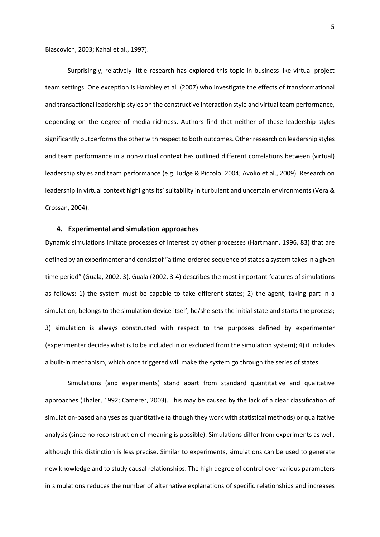Blascovich, 2003; Kahai et al., 1997).

Surprisingly, relatively little research has explored this topic in business-like virtual project team settings. One exception is Hambley et al. (2007) who investigate the effects of transformational and transactional leadership styles on the constructive interaction style and virtual team performance, depending on the degree of media richness. Authors find that neither of these leadership styles significantly outperforms the other with respect to both outcomes. Other research on leadership styles and team performance in a non-virtual context has outlined different correlations between (virtual) leadership styles and team performance (e.g. Judge & Piccolo, 2004; Avolio et al., 2009). Research on leadership in virtual context highlights its' suitability in turbulent and uncertain environments (Vera & Crossan, 2004).

### **4. Experimental and simulation approaches**

Dynamic simulations imitate processes of interest by other processes (Hartmann, 1996, 83) that are defined by an experimenter and consist of "a time-ordered sequence of states a system takes in a given time period" (Guala, 2002, 3). Guala (2002, 3-4) describes the most important features of simulations as follows: 1) the system must be capable to take different states; 2) the agent, taking part in a simulation, belongs to the simulation device itself, he/she sets the initial state and starts the process; 3) simulation is always constructed with respect to the purposes defined by experimenter (experimenter decides what is to be included in or excluded from the simulation system); 4) it includes a built-in mechanism, which once triggered will make the system go through the series of states.

Simulations (and experiments) stand apart from standard quantitative and qualitative approaches (Thaler, 1992; Camerer, 2003). This may be caused by the lack of a clear classification of simulation-based analyses as quantitative (although they work with statistical methods) or qualitative analysis (since no reconstruction of meaning is possible). Simulations differ from experiments as well, although this distinction is less precise. Similar to experiments, simulations can be used to generate new knowledge and to study causal relationships. The high degree of control over various parameters in simulations reduces the number of alternative explanations of specific relationships and increases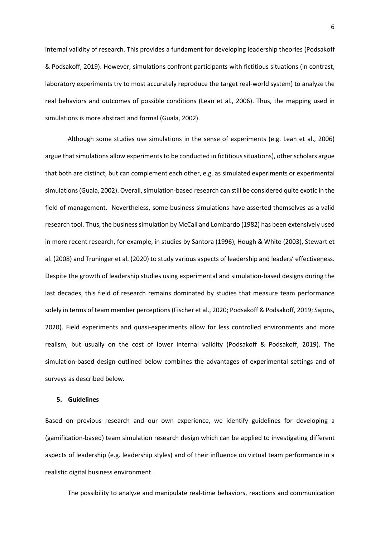internal validity of research. This provides a fundament for developing leadership theories (Podsakoff & Podsakoff, 2019). However, simulations confront participants with fictitious situations (in contrast, laboratory experiments try to most accurately reproduce the target real-world system) to analyze the real behaviors and outcomes of possible conditions (Lean et al., 2006). Thus, the mapping used in simulations is more abstract and formal (Guala, 2002).

Although some studies use simulations in the sense of experiments (e.g. Lean et al., 2006) argue that simulations allow experiments to be conducted in fictitious situations), other scholars argue that both are distinct, but can complement each other, e.g. as simulated experiments or experimental simulations (Guala, 2002). Overall, simulation-based research can still be considered quite exotic in the field of management. Nevertheless, some business simulations have asserted themselves as a valid research tool. Thus, the business simulation by McCall and Lombardo (1982) has been extensively used in more recent research, for example, in studies by Santora (1996), Hough & White (2003), Stewart et al. (2008) and Truninger et al. (2020) to study various aspects of leadership and leaders' effectiveness. Despite the growth of leadership studies using experimental and simulation-based designs during the last decades, this field of research remains dominated by studies that measure team performance solely in terms of team member perceptions (Fischer et al., 2020; Podsakoff & Podsakoff, 2019; Sajons, 2020). Field experiments and quasi-experiments allow for less controlled environments and more realism, but usually on the cost of lower internal validity (Podsakoff & Podsakoff, 2019). The simulation-based design outlined below combines the advantages of experimental settings and of surveys as described below.

#### **5. Guidelines**

Based on previous research and our own experience, we identify guidelines for developing a (gamification-based) team simulation research design which can be applied to investigating different aspects of leadership (e.g. leadership styles) and of their influence on virtual team performance in a realistic digital business environment.

The possibility to analyze and manipulate real-time behaviors, reactions and communication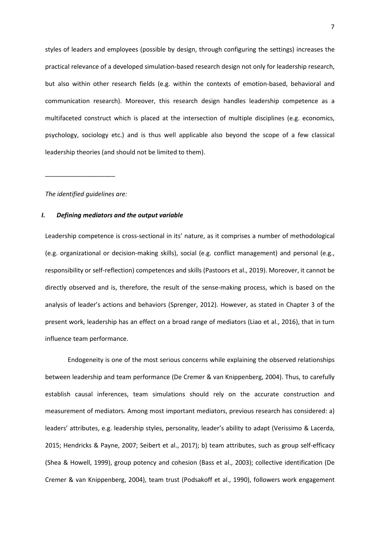styles of leaders and employees (possible by design, through configuring the settings) increases the practical relevance of a developed simulation-based research design not only for leadership research, but also within other research fields (e.g. within the contexts of emotion-based, behavioral and communication research). Moreover, this research design handles leadership competence as a multifaceted construct which is placed at the intersection of multiple disciplines (e.g. economics, psychology, sociology etc.) and is thus well applicable also beyond the scope of a few classical leadership theories (and should not be limited to them).

*The identified guidelines are:*

\_\_\_\_\_\_\_\_\_\_\_\_\_\_\_\_\_\_\_\_

## *I. Defining mediators and the output variable*

Leadership competence is cross-sectional in its' nature, as it comprises a number of methodological (e.g. organizational or decision-making skills), social (e.g. conflict management) and personal (e.g., responsibility or self-reflection) competences and skills (Pastoors et al., 2019). Moreover, it cannot be directly observed and is, therefore, the result of the sense-making process, which is based on the analysis of leader's actions and behaviors (Sprenger, 2012). However, as stated in Chapter 3 of the present work, leadership has an effect on a broad range of mediators (Liao et al., 2016), that in turn influence team performance.

Endogeneity is one of the most serious concerns while explaining the observed relationships between leadership and team performance (De Cremer & van Knippenberg, 2004). Thus, to carefully establish causal inferences, team simulations should rely on the accurate construction and measurement of mediators. Among most important mediators, previous research has considered: a) leaders' attributes, e.g. leadership styles, personality, leader's ability to adapt (Verissimo & Lacerda, 2015; Hendricks & Payne, 2007; Seibert et al., 2017); b) team attributes, such as group self-efficacy (Shea & Howell, 1999), group potency and cohesion (Bass et al., 2003); collective identification (De Cremer & van Knippenberg, 2004), team trust (Podsakoff et al., 1990), followers work engagement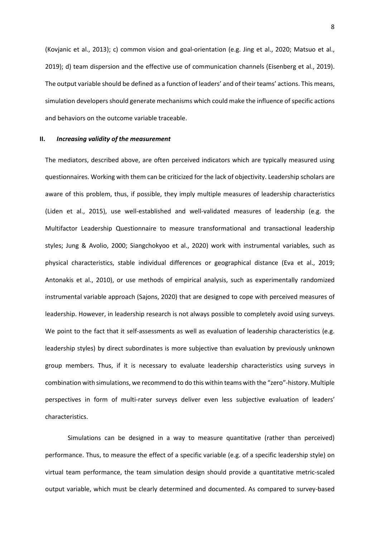(Kovjanic et al., 2013); c) common vision and goal-orientation (e.g. Jing et al., 2020; Matsuo et al., 2019); d) team dispersion and the effective use of communication channels (Eisenberg et al., 2019). The output variable should be defined as a function of leaders' and of their teams' actions. This means, simulation developers should generate mechanisms which could make the influence of specific actions and behaviors on the outcome variable traceable.

#### **II.** *Increasing validity of the measurement*

The mediators, described above, are often perceived indicators which are typically measured using questionnaires. Working with them can be criticized for the lack of objectivity. Leadership scholars are aware of this problem, thus, if possible, they imply multiple measures of leadership characteristics (Liden et al., 2015), use well-established and well-validated measures of leadership (e.g. the Multifactor Leadership Questionnaire to measure transformational and transactional leadership styles; Jung & Avolio, 2000; Siangchokyoo et al., 2020) work with instrumental variables, such as physical characteristics, stable individual differences or geographical distance (Eva et al., 2019; Antonakis et al., 2010), or use methods of empirical analysis, such as experimentally randomized instrumental variable approach (Sajons, 2020) that are designed to cope with perceived measures of leadership. However, in leadership research is not always possible to completely avoid using surveys. We point to the fact that it self-assessments as well as evaluation of leadership characteristics (e.g. leadership styles) by direct subordinates is more subjective than evaluation by previously unknown group members. Thus, if it is necessary to evaluate leadership characteristics using surveys in combination with simulations, we recommend to do this within teams with the "zero"-history. Multiple perspectives in form of multi-rater surveys deliver even less subjective evaluation of leaders' characteristics.

Simulations can be designed in a way to measure quantitative (rather than perceived) performance. Thus, to measure the effect of a specific variable (e.g. of a specific leadership style) on virtual team performance, the team simulation design should provide a quantitative metric-scaled output variable, which must be clearly determined and documented. As compared to survey-based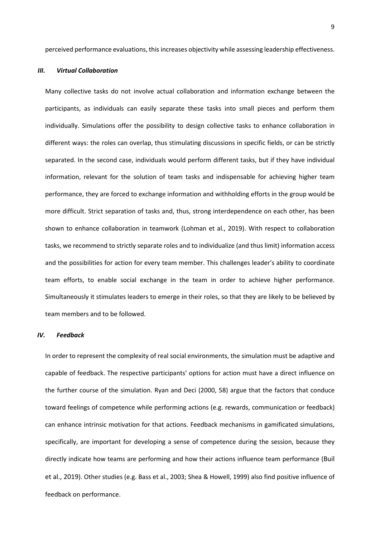perceived performance evaluations, this increases objectivity while assessing leadership effectiveness.

## *III. Virtual Collaboration*

Many collective tasks do not involve actual collaboration and information exchange between the participants, as individuals can easily separate these tasks into small pieces and perform them individually. Simulations offer the possibility to design collective tasks to enhance collaboration in different ways: the roles can overlap, thus stimulating discussions in specific fields, or can be strictly separated. In the second case, individuals would perform different tasks, but if they have individual information, relevant for the solution of team tasks and indispensable for achieving higher team performance, they are forced to exchange information and withholding efforts in the group would be more difficult. Strict separation of tasks and, thus, strong interdependence on each other, has been shown to enhance collaboration in teamwork (Lohman et al., 2019). With respect to collaboration tasks, we recommend to strictly separate roles and to individualize (and thus limit) information access and the possibilities for action for every team member. This challenges leader's ability to coordinate team efforts, to enable social exchange in the team in order to achieve higher performance. Simultaneously it stimulates leaders to emerge in their roles, so that they are likely to be believed by team members and to be followed.

## *IV. Feedback*

In order to represent the complexity of real social environments, the simulation must be adaptive and capable of feedback. The respective participants' options for action must have a direct influence on the further course of the simulation. Ryan and Deci (2000, 58) argue that the factors that conduce toward feelings of competence while performing actions (e.g. rewards, communication or feedback) can enhance intrinsic motivation for that actions. Feedback mechanisms in gamificated simulations, specifically, are important for developing a sense of competence during the session, because they directly indicate how teams are performing and how their actions influence team performance (Buil et al., 2019). Other studies (e.g. Bass et al., 2003; Shea & Howell, 1999) also find positive influence of feedback on performance.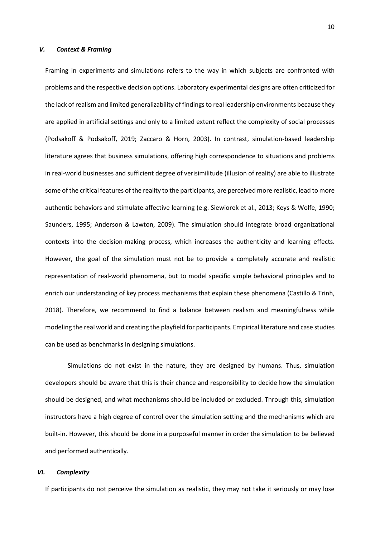## *V. Context & Framing*

Framing in experiments and simulations refers to the way in which subjects are confronted with problems and the respective decision options. Laboratory experimental designs are often criticized for the lack of realism and limited generalizability of findings to real leadership environments because they are applied in artificial settings and only to a limited extent reflect the complexity of social processes (Podsakoff & Podsakoff, 2019; Zaccaro & Horn, 2003). In contrast, simulation-based leadership literature agrees that business simulations, offering high correspondence to situations and problems in real-world businesses and sufficient degree of verisimilitude (illusion of reality) are able to illustrate some of the critical features of the reality to the participants, are perceived more realistic, lead to more authentic behaviors and stimulate affective learning (e.g. Siewiorek et al., 2013; Keys & Wolfe, 1990; Saunders, 1995; Anderson & Lawton, 2009). The simulation should integrate broad organizational contexts into the decision-making process, which increases the authenticity and learning effects. However, the goal of the simulation must not be to provide a completely accurate and realistic representation of real-world phenomena, but to model specific simple behavioral principles and to enrich our understanding of key process mechanisms that explain these phenomena (Castillo & Trinh, 2018). Therefore, we recommend to find a balance between realism and meaningfulness while modeling the real world and creating the playfield for participants. Empirical literature and case studies can be used as benchmarks in designing simulations.

Simulations do not exist in the nature, they are designed by humans. Thus, simulation developers should be aware that this is their chance and responsibility to decide how the simulation should be designed, and what mechanisms should be included or excluded. Through this, simulation instructors have a high degree of control over the simulation setting and the mechanisms which are built-in. However, this should be done in a purposeful manner in order the simulation to be believed and performed authentically.

## *VI. Complexity*

If participants do not perceive the simulation as realistic, they may not take it seriously or may lose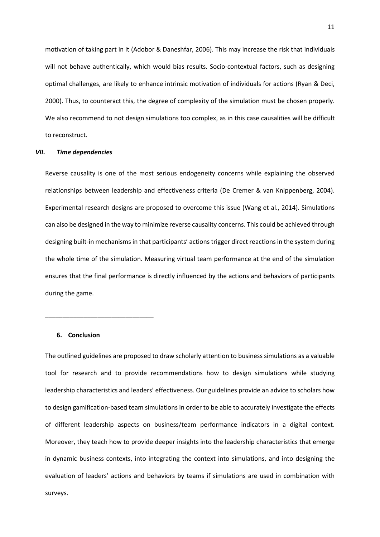motivation of taking part in it (Adobor & Daneshfar, 2006). This may increase the risk that individuals will not behave authentically, which would bias results. Socio-contextual factors, such as designing optimal challenges, are likely to enhance intrinsic motivation of individuals for actions (Ryan & Deci, 2000). Thus, to counteract this, the degree of complexity of the simulation must be chosen properly. We also recommend to not design simulations too complex, as in this case causalities will be difficult to reconstruct.

### *VII. Time dependencies*

Reverse causality is one of the most serious endogeneity concerns while explaining the observed relationships between leadership and effectiveness criteria (De Cremer & van Knippenberg, 2004). Experimental research designs are proposed to overcome this issue (Wang et al., 2014). Simulations can also be designed in the way to minimize reverse causality concerns. This could be achieved through designing built-in mechanisms in that participants' actions trigger direct reactions in the system during the whole time of the simulation. Measuring virtual team performance at the end of the simulation ensures that the final performance is directly influenced by the actions and behaviors of participants during the game.

# **6. Conclusion**

\_\_\_\_\_\_\_\_\_\_\_\_\_\_\_\_\_\_\_\_\_\_\_\_\_\_\_\_\_\_\_

The outlined guidelines are proposed to draw scholarly attention to business simulations as a valuable tool for research and to provide recommendations how to design simulations while studying leadership characteristics and leaders' effectiveness. Our guidelines provide an advice to scholars how to design gamification-based team simulations in order to be able to accurately investigate the effects of different leadership aspects on business/team performance indicators in a digital context. Moreover, they teach how to provide deeper insights into the leadership characteristics that emerge in dynamic business contexts, into integrating the context into simulations, and into designing the evaluation of leaders' actions and behaviors by teams if simulations are used in combination with surveys.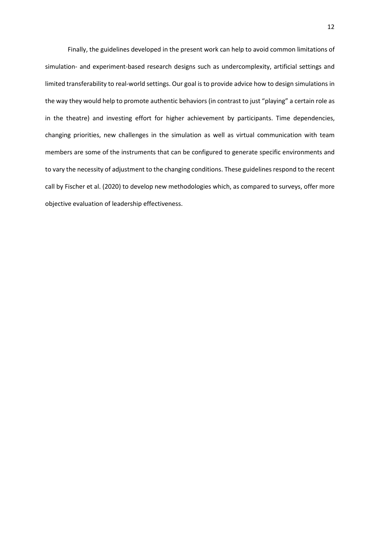Finally, the guidelines developed in the present work can help to avoid common limitations of simulation- and experiment-based research designs such as undercomplexity, artificial settings and limited transferability to real-world settings. Our goal is to provide advice how to design simulations in the way they would help to promote authentic behaviors (in contrast to just "playing" a certain role as in the theatre) and investing effort for higher achievement by participants. Time dependencies, changing priorities, new challenges in the simulation as well as virtual communication with team members are some of the instruments that can be configured to generate specific environments and to vary the necessity of adjustment to the changing conditions. These guidelines respond to the recent call by Fischer et al. (2020) to develop new methodologies which, as compared to surveys, offer more objective evaluation of leadership effectiveness.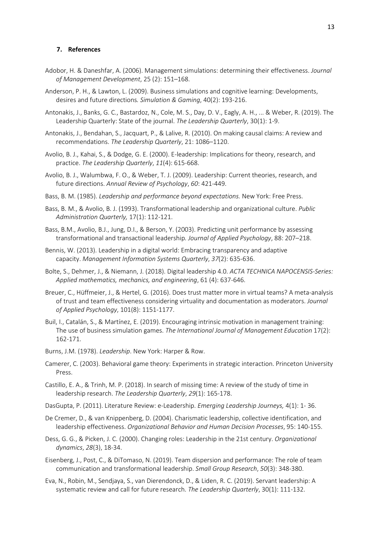# **7. References**

- Adobor, H. & Daneshfar, A. (2006). Management simulations: determining their effectiveness. *Journal of Management Development*, 25 (2): 151–168.
- Anderson, P. H., & Lawton, L. (2009). Business simulations and cognitive learning: Developments, desires and future directions*. Simulation & Gaming*, 40(2): 193-216.
- Antonakis, J., Banks, G. C., Bastardoz, N., Cole, M. S., Day, D. V., Eagly, A. H., ... & Weber, R. (2019). The Leadership Quarterly: State of the journal. *The Leadership Quarterly*, 30(1): 1-9.
- Antonakis, J., Bendahan, S., Jacquart, P., & Lalive, R. (2010). On making causal claims: A review and recommendations. *The Leadership Quarterly*, 21: 1086–1120.
- Avolio, B. J., Kahai, S., & Dodge, G. E. (2000). E-leadership: Implications for theory, research, and practice. *The Leadership Quarterly*, *11*(4): 615-668.
- Avolio, B. J., Walumbwa, F. O., & Weber, T. J. (2009). Leadership: Current theories, research, and future directions. *Annual Review of Psychology*, *60*: 421-449.
- Bass, B. M. (1985). *Leadership and performance beyond expectations.* New York: Free Press.
- Bass, B. M., & Avolio, B. J. (1993). Transformational leadership and organizational culture. *Public Administration Quarterly,* 17(1): 112-121.
- Bass, B.M., Avolio, B.J., Jung, D.I., & Berson, Y. (2003). Predicting unit performance by assessing transformational and transactional leadership*. Journal of Applied Psychology*, 88: 207–218.
- Bennis, W. (2013). Leadership in a digital world: Embracing transparency and adaptive capacity. *Management Information Systems Quarterly*, *37*(2): 635-636.
- Bolte, S., Dehmer, J., & Niemann, J. (2018). Digital leadership 4.0. *ACTA TECHNICA NAPOCENSIS-Series: Applied mathematics, mechanics, and engineering*, 61 (4): 637-646.
- Breuer, C., Hüffmeier, J., & Hertel, G. (2016). Does trust matter more in virtual teams? A meta-analysis of trust and team effectiveness considering virtuality and documentation as moderators. *Journal of Applied Psychology*, 101(8): 1151-1177.
- Buil, I., Catalán, S., & Martínez, E. (2019). Encouraging intrinsic motivation in management training: The use of business simulation games. *The International Journal of Management Education* 17(2): 162-171.
- Burns, J.M. (1978). *Leadership*. New York: Harper & Row.
- Camerer, C. (2003). Behavioral game theory: Experiments in strategic interaction. Princeton University Press.
- Castillo, E. A., & Trinh, M. P. (2018). In search of missing time: A review of the study of time in leadership research. *The Leadership Quarterly*, *29*(1): 165-178.
- DasGupta, P. (2011). Literature Review: e-Leadership. *Emerging Leadership Journeys,* 4(1): 1- 36.
- De Cremer, D., & van Knippenberg, D. (2004). Charismatic leadership, collective identification, and leadership effectiveness. *Organizational Behavior and Human Decision Processes*, 95: 140-155.
- Dess, G. G., & Picken, J. C. (2000). Changing roles: Leadership in the 21st century. *Organizational dynamics*, *28*(3), 18-34.
- Eisenberg, J., Post, C., & DiTomaso, N. (2019). Team dispersion and performance: The role of team communication and transformational leadership. *Small Group Research*, *50*(3): 348-380.
- Eva, N., Robin, M., Sendjaya, S., van Dierendonck, D., & Liden, R. C. (2019). Servant leadership: A systematic review and call for future research. *The Leadership Quarterly*, 30(1): 111-132.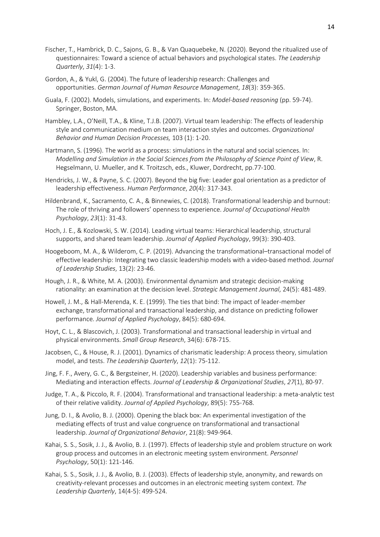- Fischer, T., Hambrick, D. C., Sajons, G. B., & Van Quaquebeke, N. (2020). Beyond the ritualized use of questionnaires: Toward a science of actual behaviors and psychological states. *The Leadership Quarterly*, *31*(4): 1-3.
- Gordon, A., & Yukl, G. (2004). The future of leadership research: Challenges and opportunities. *German Journal of Human Resource Management*, *18*(3): 359-365.
- Guala, F. (2002). Models, simulations, and experiments. In: *Model-based reasoning* (pp. 59-74). Springer, Boston, MA.
- Hambley, L.A., O'Neill, T.A., & Kline, T.J.B. (2007). Virtual team leadership: The effects of leadership style and communication medium on team interaction styles and outcomes. *Organizational Behavior and Human Decision Processes,* 103 (1): 1-20.
- Hartmann, S. (1996). The world as a process: simulations in the natural and social sciences. In: *Modelling and Simulation in the Social Sciences from the Philosophy of Science Point of View*, R. Hegselmann, U. Mueller, and K. Troitzsch, eds., Kluwer, Dordrecht, pp.77-100.
- Hendricks, J. W., & Payne, S. C. (2007). Beyond the big five: Leader goal orientation as a predictor of leadership effectiveness. *Human Performance*, *20*(4): 317-343.
- Hildenbrand, K., Sacramento, C. A., & Binnewies, C. (2018). Transformational leadership and burnout: The role of thriving and followers' openness to experience. *Journal of Occupational Health Psychology*, *23*(1): 31-43.
- Hoch, J. E., & Kozlowski, S. W. (2014). Leading virtual teams: Hierarchical leadership, structural supports, and shared team leadership. *Journal of Applied Psychology*, 99(3): 390-403.
- Hoogeboom, M. A., & Wilderom, C. P. (2019). Advancing the transformational–transactional model of effective leadership: Integrating two classic leadership models with a video-based method. *Journal of Leadership Studies*, 13(2): 23-46.
- Hough, J. R., & White, M. A. (2003). Environmental dynamism and strategic decision-making rationality: an examination at the decision level. *Strategic Management Journal*, 24(5): 481-489.
- Howell, J. M., & Hall-Merenda, K. E. (1999). The ties that bind: The impact of leader-member exchange, transformational and transactional leadership, and distance on predicting follower performance. *Journal of Applied Psychology*, 84(5): 680-694.
- Hoyt, C. L., & Blascovich, J. (2003). Transformational and transactional leadership in virtual and physical environments. *Small Group Research*, 34(6): 678-715.
- Jacobsen, C., & House, R. J. (2001). Dynamics of charismatic leadership: A process theory, simulation model, and tests. *The Leadership Quarterly*, *12*(1): 75-112.
- Jing, F. F., Avery, G. C., & Bergsteiner, H. (2020). Leadership variables and business performance: Mediating and interaction effects. *Journal of Leadership & Organizational Studies*, *27*(1), 80-97.
- Judge, T. A., & Piccolo, R. F. (2004). Transformational and transactional leadership: a meta-analytic test of their relative validity. *Journal of Applied Psychology*, 89(5): 755-768.
- Jung, D. I., & Avolio, B. J. (2000). Opening the black box: An experimental investigation of the mediating effects of trust and value congruence on transformational and transactional leadership. *Journal of Organizational Behavior*, 21(8): 949-964.
- Kahai, S. S., Sosik, J. J., & Avolio, B. J. (1997). Effects of leadership style and problem structure on work group process and outcomes in an electronic meeting system environment. *Personnel Psychology*, 50(1): 121-146.
- Kahai, S. S., Sosik, J. J., & Avolio, B. J. (2003). Effects of leadership style, anonymity, and rewards on creativity-relevant processes and outcomes in an electronic meeting system context. *The Leadership Quarterly*, 14(4-5): 499-524.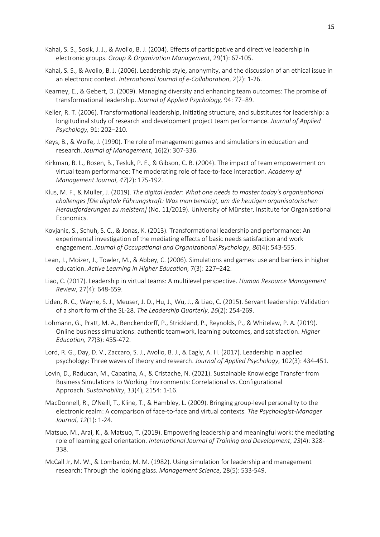- Kahai, S. S., Sosik, J. J., & Avolio, B. J. (2004). Effects of participative and directive leadership in electronic groups. *Group & Organization Management*, 29(1): 67-105.
- Kahai, S. S., & Avolio, B. J. (2006). Leadership style, anonymity, and the discussion of an ethical issue in an electronic context. *International Journal of e-Collaboration*, 2(2): 1-26.
- Kearney, E., & Gebert, D. (2009). Managing diversity and enhancing team outcomes: The promise of transformational leadership. *Journal of Applied Psychology,* 94: 77–89.
- Keller, R. T. (2006). Transformational leadership, initiating structure, and substitutes for leadership: a longitudinal study of research and development project team performance. *Journal of Applied Psychology,* 91: 202–210.
- Keys, B., & Wolfe, J. (1990). The role of management games and simulations in education and research. *Journal of Management*, 16(2): 307-336.
- Kirkman, B. L., Rosen, B., Tesluk, P. E., & Gibson, C. B. (2004). The impact of team empowerment on virtual team performance: The moderating role of face-to-face interaction. *Academy of Management Journal*, *47*(2): 175-192.
- Klus, M. F., & Müller, J. (2019). *The digital leader: What one needs to master today's organisational challenges [Die digitale Führungskraft: Was man benötigt, um die heutigen organisatorischen Herausforderungen zu meistern]* (No. 11/2019). University of Münster, Institute for Organisational Economics.
- Kovjanic, S., Schuh, S. C., & Jonas, K. (2013). Transformational leadership and performance: An experimental investigation of the mediating effects of basic needs satisfaction and work engagement. *Journal of Occupational and Organizational Psychology*, *86*(4): 543-555.
- Lean, J., Moizer, J., Towler, M., & Abbey, C. (2006). Simulations and games: use and barriers in higher education. *Active Learning in Higher Education*, 7(3): 227–242.
- Liao, C. (2017). Leadership in virtual teams: A multilevel perspective. *Human Resource Management Review*, 27(4): 648-659.
- Liden, R. C., Wayne, S. J., Meuser, J. D., Hu, J., Wu, J., & Liao, C. (2015). Servant leadership: Validation of a short form of the SL-28. *The Leadership Quarterly*, *26*(2): 254-269.
- Lohmann, G., Pratt, M. A., Benckendorff, P., Strickland, P., Reynolds, P., & Whitelaw, P. A. (2019). Online business simulations: authentic teamwork, learning outcomes, and satisfaction. *Higher Education, 77*(3): 455-472.
- Lord, R. G., Day, D. V., Zaccaro, S. J., Avolio, B. J., & Eagly, A. H. (2017). Leadership in applied psychology: Three waves of theory and research. *Journal of Applied Psychology*, 102(3): 434-451.
- Lovin, D., Raducan, M., Capatina, A., & Cristache, N. (2021). Sustainable Knowledge Transfer from Business Simulations to Working Environments: Correlational vs. Configurational Approach. *Sustainability*, *13*(4), 2154: 1-16.
- MacDonnell, R., O'Neill, T., Kline, T., & Hambley, L. (2009). Bringing group-level personality to the electronic realm: A comparison of face-to-face and virtual contexts. *The Psychologist-Manager Journal*, *12*(1): 1-24.
- Matsuo, M., Arai, K., & Matsuo, T. (2019). Empowering leadership and meaningful work: the mediating role of learning goal orientation. *International Journal of Training and Development*, *23*(4): 328- 338.
- McCall Jr, M. W., & Lombardo, M. M. (1982). Using simulation for leadership and management research: Through the looking glass. *Management Science*, 28(5): 533-549.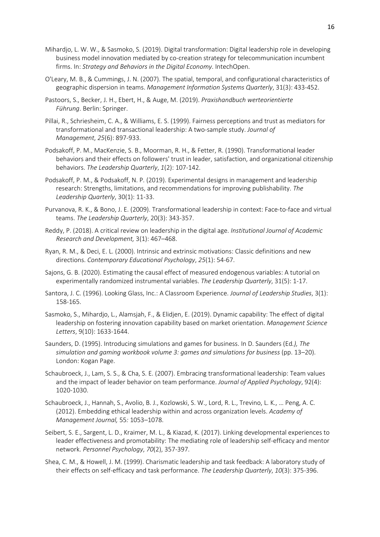- Mihardjo, L. W. W., & Sasmoko, S. (2019). Digital transformation: Digital leadership role in developing business model innovation mediated by co-creation strategy for telecommunication incumbent firms. In: *Strategy and Behaviors in the Digital Economy*. IntechOpen.
- O'Leary, M. B., & Cummings, J. N. (2007). The spatial, temporal, and configurational characteristics of geographic dispersion in teams. *Management Information Systems Quarterly*, 31(3): 433-452.
- Pastoors, S., Becker, J. H., Ebert, H., & Auge, M. (2019). *Praxishandbuch werteorientierte Führung*. Berlin: Springer.
- Pillai, R., Schriesheim, C. A., & Williams, E. S. (1999). Fairness perceptions and trust as mediators for transformational and transactional leadership: A two-sample study. *Journal of Management*, *25*(6): 897-933.
- Podsakoff, P. M., MacKenzie, S. B., Moorman, R. H., & Fetter, R. (1990). Transformational leader behaviors and their effects on followers' trust in leader, satisfaction, and organizational citizenship behaviors. *The Leadership Quarterly*, *1*(2): 107-142.
- Podsakoff, P. M., & Podsakoff, N. P. (2019). Experimental designs in management and leadership research: Strengths, limitations, and recommendations for improving publishability. *The Leadership Quarterly*, 30(1): 11-33.
- Purvanova, R. K., & Bono, J. E. (2009). Transformational leadership in context: Face-to-face and virtual teams. *The Leadership Quarterly*, 20(3): 343-357.
- Reddy, P. (2018). A critical review on leadership in the digital age. *Institutional Journal of Academic Research and Development,* 3(1): 467–468.
- Ryan, R. M., & Deci, E. L. (2000). Intrinsic and extrinsic motivations: Classic definitions and new directions. *Contemporary Educational Psychology*, *25*(1): 54-67.
- Sajons, G. B. (2020). Estimating the causal effect of measured endogenous variables: A tutorial on experimentally randomized instrumental variables. *The Leadership Quarterly*, 31(5): 1-17.
- Santora, J. C. (1996). Looking Glass, Inc.: A Classroom Experience. *Journal of Leadership Studies*, 3(1): 158-165.
- Sasmoko, S., Mihardjo, L., Alamsjah, F., & Elidjen, E. (2019). Dynamic capability: The effect of digital leadership on fostering innovation capability based on market orientation. *Management Science Letters*, 9(10): 1633-1644.
- Saunders, D. (1995). Introducing simulations and games for business. In D. Saunders (Ed*.), The simulation and gaming workbook volume 3: games and simulations for business* (pp. 13–20). London: Kogan Page.
- Schaubroeck, J., Lam, S. S., & Cha, S. E. (2007). Embracing transformational leadership: Team values and the impact of leader behavior on team performance. *Journal of Applied Psychology*, 92(4): 1020-1030.
- Schaubroeck, J., Hannah, S., Avolio, B. J., Kozlowski, S. W., Lord, R. L., Trevino, L. K., … Peng, A. C. (2012). Embedding ethical leadership within and across organization levels. *Academy of Management Journal,* 55*:* 1053–1078.
- Seibert, S. E., Sargent, L. D., Kraimer, M. L., & Kiazad, K. (2017). Linking developmental experiences to leader effectiveness and promotability: The mediating role of leadership self-efficacy and mentor network. *Personnel Psychology*, *70*(2), 357-397.
- Shea, C. M., & Howell, J. M. (1999). Charismatic leadership and task feedback: A laboratory study of their effects on self-efficacy and task performance. *The Leadership Quarterly*, *10*(3): 375-396.